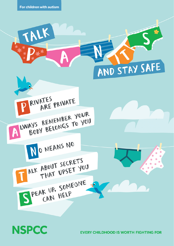# **NSPCC**